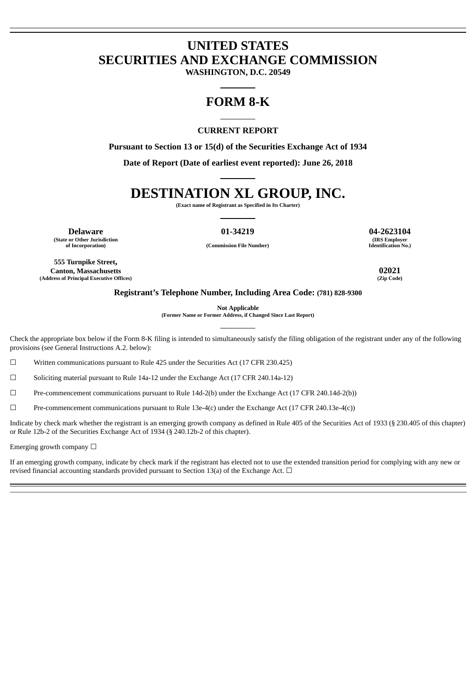## **UNITED STATES SECURITIES AND EXCHANGE COMMISSION**

**WASHINGTON, D.C. 20549**

### **FORM 8-K**

### **CURRENT REPORT**

**Pursuant to Section 13 or 15(d) of the Securities Exchange Act of 1934**

**Date of Report (Date of earliest event reported): June 26, 2018**

# **DESTINATION XL GROUP, INC.**

**(Exact name of Registrant as Specified in Its Charter)**

**Delaware 01-34219 04-2623104 (State or Other Jurisdiction of Incorporation) (Commission File Number)**

**(IRS Employer Identification No.)**

**555 Turnpike Street, Canton, Massachusetts 02021 (Address of Principal Executive Offices)** 

#### **Registrant's Telephone Number, Including Area Code: (781) 828-9300**

**Not Applicable**

**(Former Name or Former Address, if Changed Since Last Report)**

Check the appropriate box below if the Form 8-K filing is intended to simultaneously satisfy the filing obligation of the registrant under any of the following provisions (see General Instructions A.2. below):

☐ Written communications pursuant to Rule 425 under the Securities Act (17 CFR 230.425)

 $\Box$  Soliciting material pursuant to Rule 14a-12 under the Exchange Act (17 CFR 240.14a-12)

☐ Pre-commencement communications pursuant to Rule 14d-2(b) under the Exchange Act (17 CFR 240.14d-2(b))

 $\Box$  Pre-commencement communications pursuant to Rule 13e-4(c) under the Exchange Act (17 CFR 240.13e-4(c))

Indicate by check mark whether the registrant is an emerging growth company as defined in Rule 405 of the Securities Act of 1933 (§ 230.405 of this chapter) or Rule 12b-2 of the Securities Exchange Act of 1934 (§ 240.12b-2 of this chapter).

Emerging growth company  $\Box$ 

If an emerging growth company, indicate by check mark if the registrant has elected not to use the extended transition period for complying with any new or revised financial accounting standards provided pursuant to Section 13(a) of the Exchange Act.  $\Box$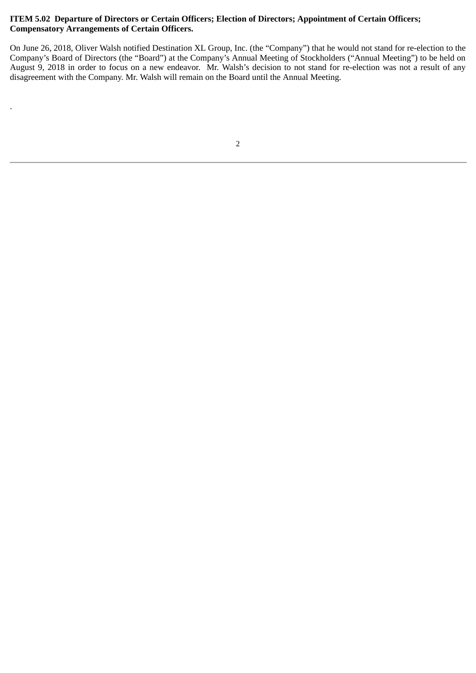### **ITEM 5.02 Departure of Directors or Certain Officers; Election of Directors; Appointment of Certain Officers; Compensatory Arrangements of Certain Officers.**

.

On June 26, 2018, Oliver Walsh notified Destination XL Group, Inc. (the "Company") that he would not stand for re-election to the Company's Board of Directors (the "Board") at the Company's Annual Meeting of Stockholders ("Annual Meeting") to be held on August 9, 2018 in order to focus on a new endeavor. Mr. Walsh's decision to not stand for re-election was not a result of any disagreement with the Company. Mr. Walsh will remain on the Board until the Annual Meeting.

```
2
```